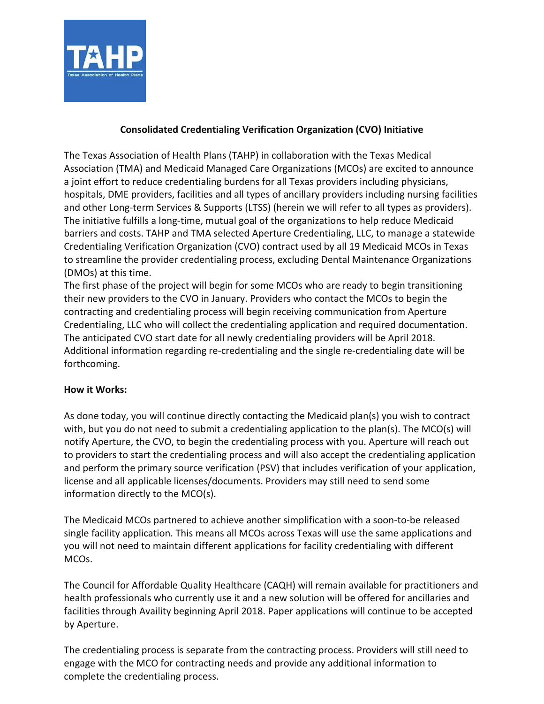

## **Consolidated Credentialing Verification Organization (CVO) Initiative**

The Texas Association of Health Plans (TAHP) in collaboration with the Texas Medical Association (TMA) and Medicaid Managed Care Organizations (MCOs) are excited to announce a joint effort to reduce credentialing burdens for all Texas providers including physicians, hospitals, DME providers, facilities and all types of ancillary providers including nursing facilities and other Long-term Services & Supports (LTSS) (herein we will refer to all types as providers). The initiative fulfills a long-time, mutual goal of the organizations to help reduce Medicaid barriers and costs. TAHP and TMA selected Aperture Credentialing, LLC, to manage a statewide Credentialing Verification Organization (CVO) contract used by all 19 Medicaid MCOs in Texas to streamline the provider credentialing process, excluding Dental Maintenance Organizations (DMOs) at this time.

The first phase of the project will begin for some MCOs who are ready to begin transitioning their new providers to the CVO in January. Providers who contact the MCOs to begin the contracting and credentialing process will begin receiving communication from Aperture Credentialing, LLC who will collect the credentialing application and required documentation. The anticipated CVO start date for all newly credentialing providers will be April 2018. Additional information regarding re-credentialing and the single re-credentialing date will be forthcoming.

## **How it Works:**

As done today, you will continue directly contacting the Medicaid plan(s) you wish to contract with, but you do not need to submit a credentialing application to the plan(s). The MCO(s) will notify Aperture, the CVO, to begin the credentialing process with you. Aperture will reach out to providers to start the credentialing process and will also accept the credentialing application and perform the primary source verification (PSV) that includes verification of your application, license and all applicable licenses/documents. Providers may still need to send some information directly to the MCO(s).

The Medicaid MCOs partnered to achieve another simplification with a soon-to-be released single facility application. This means all MCOs across Texas will use the same applications and you will not need to maintain different applications for facility credentialing with different MCOs.

The Council for Affordable Quality Healthcare (CAQH) will remain available for practitioners and health professionals who currently use it and a new solution will be offered for ancillaries and facilities through Availity beginning April 2018. Paper applications will continue to be accepted by Aperture.

The credentialing process is separate from the contracting process. Providers will still need to engage with the MCO for contracting needs and provide any additional information to complete the credentialing process.